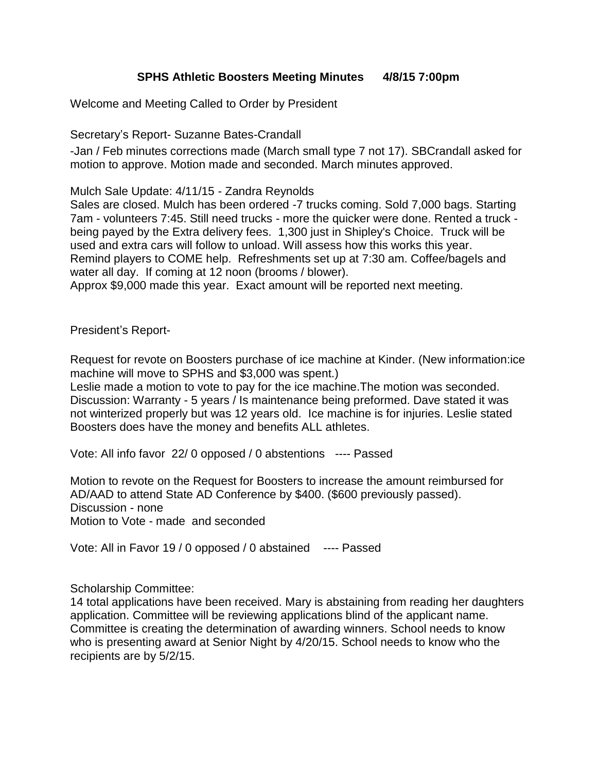## **SPHS Athletic Boosters Meeting Minutes 4/8/15 7:00pm**

Welcome and Meeting Called to Order by President

Secretary's Report- Suzanne Bates-Crandall

-Jan / Feb minutes corrections made (March small type 7 not 17). SBCrandall asked for motion to approve. Motion made and seconded. March minutes approved.

Mulch Sale Update: 4/11/15 - Zandra Reynolds

Sales are closed. Mulch has been ordered -7 trucks coming. Sold 7,000 bags. Starting 7am - volunteers 7:45. Still need trucks - more the quicker were done. Rented a truck being payed by the Extra delivery fees. 1,300 just in Shipley's Choice. Truck will be used and extra cars will follow to unload. Will assess how this works this year. Remind players to COME help. Refreshments set up at 7:30 am. Coffee/bagels and water all day. If coming at 12 noon (brooms / blower).

Approx \$9,000 made this year. Exact amount will be reported next meeting.

President's Report-

Request for revote on Boosters purchase of ice machine at Kinder. (New information:ice machine will move to SPHS and \$3,000 was spent.)

Leslie made a motion to vote to pay for the ice machine.The motion was seconded. Discussion: Warranty - 5 years / Is maintenance being preformed. Dave stated it was not winterized properly but was 12 years old. Ice machine is for injuries. Leslie stated Boosters does have the money and benefits ALL athletes.

Vote: All info favor 22/ 0 opposed / 0 abstentions ---- Passed

Motion to revote on the Request for Boosters to increase the amount reimbursed for AD/AAD to attend State AD Conference by \$400. (\$600 previously passed). Discussion - none Motion to Vote - made and seconded

Vote: All in Favor 19 / 0 opposed / 0 abstained ---- Passed

Scholarship Committee:

14 total applications have been received. Mary is abstaining from reading her daughters application. Committee will be reviewing applications blind of the applicant name. Committee is creating the determination of awarding winners. School needs to know who is presenting award at Senior Night by 4/20/15. School needs to know who the recipients are by 5/2/15.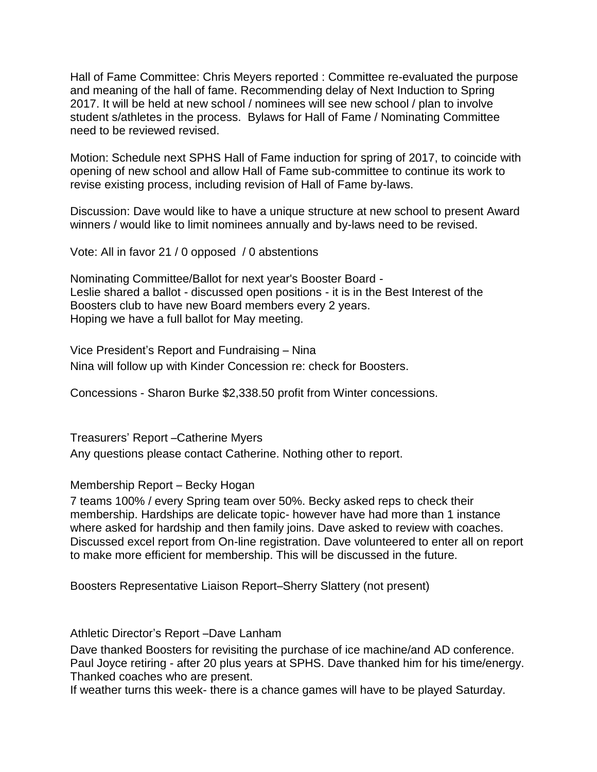Hall of Fame Committee: Chris Meyers reported : Committee re-evaluated the purpose and meaning of the hall of fame. Recommending delay of Next Induction to Spring 2017. It will be held at new school / nominees will see new school / plan to involve student s/athletes in the process. Bylaws for Hall of Fame / Nominating Committee need to be reviewed revised.

Motion: Schedule next SPHS Hall of Fame induction for spring of 2017, to coincide with opening of new school and allow Hall of Fame sub-committee to continue its work to revise existing process, including revision of Hall of Fame by-laws.

Discussion: Dave would like to have a unique structure at new school to present Award winners / would like to limit nominees annually and by-laws need to be revised.

Vote: All in favor 21 / 0 opposed / 0 abstentions

Nominating Committee/Ballot for next year's Booster Board - Leslie shared a ballot - discussed open positions - it is in the Best Interest of the Boosters club to have new Board members every 2 years. Hoping we have a full ballot for May meeting.

Vice President's Report and Fundraising – Nina Nina will follow up with Kinder Concession re: check for Boosters.

Concessions - Sharon Burke \$2,338.50 profit from Winter concessions.

Treasurers' Report –Catherine Myers Any questions please contact Catherine. Nothing other to report.

## Membership Report – Becky Hogan

7 teams 100% / every Spring team over 50%. Becky asked reps to check their membership. Hardships are delicate topic- however have had more than 1 instance where asked for hardship and then family joins. Dave asked to review with coaches. Discussed excel report from On-line registration. Dave volunteered to enter all on report to make more efficient for membership. This will be discussed in the future.

Boosters Representative Liaison Report–Sherry Slattery (not present)

Athletic Director's Report –Dave Lanham

Dave thanked Boosters for revisiting the purchase of ice machine/and AD conference. Paul Joyce retiring - after 20 plus years at SPHS. Dave thanked him for his time/energy. Thanked coaches who are present.

If weather turns this week- there is a chance games will have to be played Saturday.